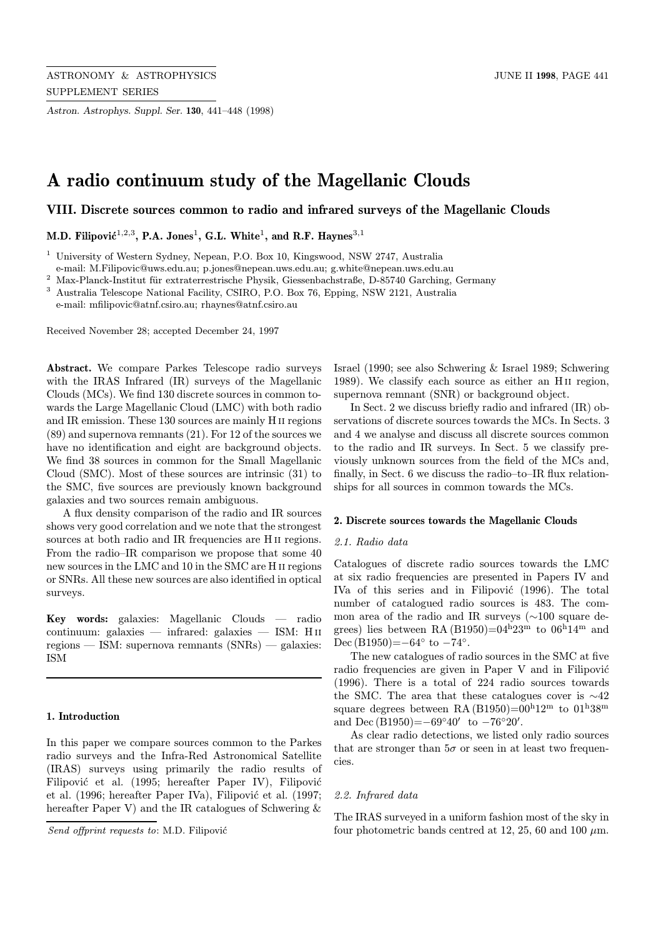Astron. Astrophys. Suppl. Ser. 130, 441–448 (1998)

# A radio continuum study of the Magellanic Clouds

VIII. Discrete sources common to radio and infrared surveys of the Magellanic Clouds

M.D. Filipović<sup>1,2,3</sup>, P.A. Jones<sup>1</sup>, G.L. White<sup>1</sup>, and R.F. Haynes<sup>3,1</sup>

<sup>1</sup> University of Western Sydney, Nepean, P.O. Box 10, Kingswood, NSW 2747, Australia

e-mail: M.Filipovic@uws.edu.au; p.jones@nepean.uws.edu.au; g.white@nepean.uws.edu.au

 $^2$ Max-Planck-Institut für extraterrestrische Physik, Giessenbachstraße, D-85740 Garching, Germany

<sup>3</sup> Australia Telescope National Facility, CSIRO, P.O. Box 76, Epping, NSW 2121, Australia

e-mail: mfilipovic@atnf.csiro.au; rhaynes@atnf.csiro.au

Received November 28; accepted December 24, 1997

Abstract. We compare Parkes Telescope radio surveys with the IRAS Infrared (IR) surveys of the Magellanic Clouds (MCs). We find 130 discrete sources in common towards the Large Magellanic Cloud (LMC) with both radio and IR emission. These 130 sources are mainly H ii regions (89) and supernova remnants (21). For 12 of the sources we have no identification and eight are background objects. We find 38 sources in common for the Small Magellanic Cloud (SMC). Most of these sources are intrinsic (31) to the SMC, five sources are previously known background galaxies and two sources remain ambiguous.

A flux density comparison of the radio and IR sources shows very good correlation and we note that the strongest sources at both radio and IR frequencies are H<sub>II</sub> regions. From the radio–IR comparison we propose that some 40 new sources in the LMC and 10 in the SMC are H ii regions or SNRs. All these new sources are also identified in optical surveys.

Key words: galaxies: Magellanic Clouds — radio continuum: galaxies — infrared: galaxies — ISM: H ii regions — ISM: supernova remnants (SNRs) — galaxies: ISM

## 1. Introduction

In this paper we compare sources common to the Parkes radio surveys and the Infra-Red Astronomical Satellite (IRAS) surveys using primarily the radio results of Filipović et al. (1995; hereafter Paper IV), Filipović et al. (1996; hereafter Paper IVa), Filipović et al. (1997; hereafter Paper V) and the IR catalogues of Schwering  $\&$ 

Israel (1990; see also Schwering & Israel 1989; Schwering 1989). We classify each source as either an Hii region, supernova remnant (SNR) or background object.

In Sect. 2 we discuss briefly radio and infrared (IR) observations of discrete sources towards the MCs. In Sects. 3 and 4 we analyse and discuss all discrete sources common to the radio and IR surveys. In Sect. 5 we classify previously unknown sources from the field of the MCs and, finally, in Sect. 6 we discuss the radio–to–IR flux relationships for all sources in common towards the MCs.

#### 2. Discrete sources towards the Magellanic Clouds

#### 2.1. Radio data

Catalogues of discrete radio sources towards the LMC at six radio frequencies are presented in Papers IV and IVa of this series and in Filipović (1996). The total number of catalogued radio sources is 483. The common area of the radio and IR surveys (∼100 square degrees) lies between RA (B1950)=04 $h23<sup>m</sup>$  to 06 $h14<sup>m</sup>$  and Dec (B1950)= $-64^\circ$  to  $-74^\circ$ .

The new catalogues of radio sources in the SMC at five radio frequencies are given in Paper V and in Filipović (1996). There is a total of 224 radio sources towards the SMC. The area that these catalogues cover is  $\sim$ 42 square degrees between RA (B1950)= $00^{h}12^{m}$  to  $01^{h}38^{m}$ and Dec  $(B1950) = -69°40'$  to  $-76°20'$ .

As clear radio detections, we listed only radio sources that are stronger than  $5\sigma$  or seen in at least two frequencies.

### 2.2. Infrared data

The IRAS surveyed in a uniform fashion most of the sky in four photometric bands centred at 12, 25, 60 and 100  $\mu$ m.

Send offprint requests to: M.D. Filipović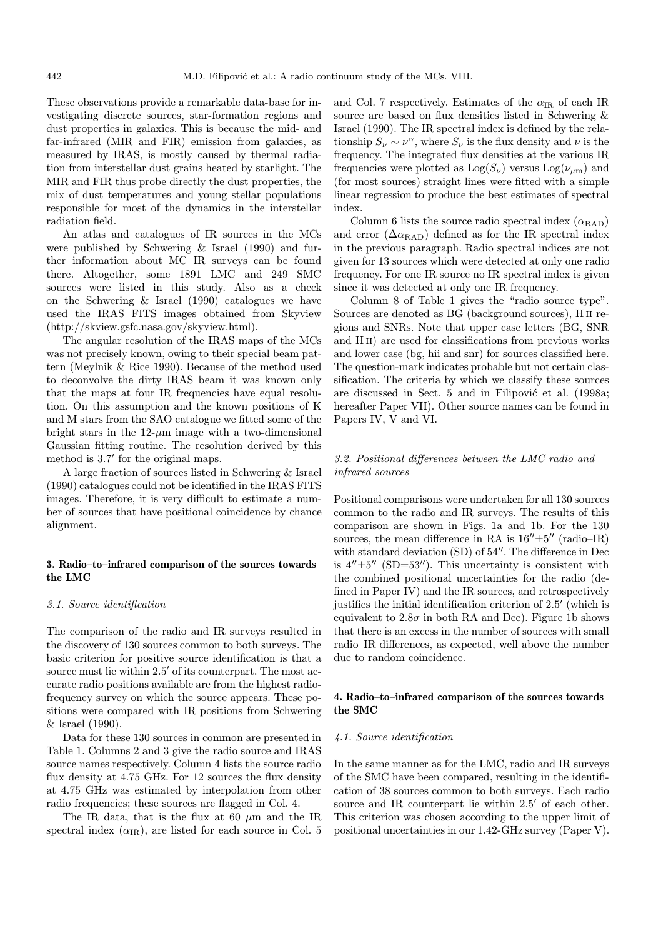These observations provide a remarkable data-base for investigating discrete sources, star-formation regions and dust properties in galaxies. This is because the mid- and far-infrared (MIR and FIR) emission from galaxies, as measured by IRAS, is mostly caused by thermal radiation from interstellar dust grains heated by starlight. The MIR and FIR thus probe directly the dust properties, the mix of dust temperatures and young stellar populations responsible for most of the dynamics in the interstellar radiation field.

An atlas and catalogues of IR sources in the MCs were published by Schwering & Israel (1990) and further information about MC IR surveys can be found there. Altogether, some 1891 LMC and 249 SMC sources were listed in this study. Also as a check on the Schwering & Israel (1990) catalogues we have used the IRAS FITS images obtained from Skyview (http://skview.gsfc.nasa.gov/skyview.html).

The angular resolution of the IRAS maps of the MCs was not precisely known, owing to their special beam pattern (Meylnik & Rice 1990). Because of the method used to deconvolve the dirty IRAS beam it was known only that the maps at four IR frequencies have equal resolution. On this assumption and the known positions of K and M stars from the SAO catalogue we fitted some of the bright stars in the  $12-\mu m$  image with a two-dimensional Gaussian fitting routine. The resolution derived by this method is  $3.7'$  for the original maps.

A large fraction of sources listed in Schwering & Israel (1990) catalogues could not be identified in the IRAS FITS images. Therefore, it is very difficult to estimate a number of sources that have positional coincidence by chance alignment.

## 3. Radio–to–infrared comparison of the sources towards the LMC

#### 3.1. Source identification

The comparison of the radio and IR surveys resulted in the discovery of 130 sources common to both surveys. The basic criterion for positive source identification is that a source must lie within 2.5' of its counterpart. The most accurate radio positions available are from the highest radiofrequency survey on which the source appears. These positions were compared with IR positions from Schwering & Israel (1990).

Data for these 130 sources in common are presented in Table 1. Columns 2 and 3 give the radio source and IRAS source names respectively. Column 4 lists the source radio flux density at 4.75 GHz. For 12 sources the flux density at 4.75 GHz was estimated by interpolation from other radio frequencies; these sources are flagged in Col. 4.

The IR data, that is the flux at 60  $\mu$ m and the IR spectral index  $(\alpha_{IR})$ , are listed for each source in Col. 5 and Col. 7 respectively. Estimates of the  $\alpha_{IR}$  of each IR source are based on flux densities listed in Schwering & Israel (1990). The IR spectral index is defined by the relationship  $S_{\nu} \sim \nu^{\alpha}$ , where  $S_{\nu}$  is the flux density and  $\nu$  is the frequency. The integrated flux densities at the various IR frequencies were plotted as  $Log(S_{\nu})$  versus  $Log(\nu_{\mu m})$  and (for most sources) straight lines were fitted with a simple linear regression to produce the best estimates of spectral index.

Column 6 lists the source radio spectral index  $(\alpha_{\text{RAD}})$ and error  $(\Delta \alpha_{\text{RAD}})$  defined as for the IR spectral index in the previous paragraph. Radio spectral indices are not given for 13 sources which were detected at only one radio frequency. For one IR source no IR spectral index is given since it was detected at only one IR frequency.

Column 8 of Table 1 gives the "radio source type". Sources are denoted as BG (background sources), H ii regions and SNRs. Note that upper case letters (BG, SNR and H<sub>II</sub>) are used for classifications from previous works and lower case (bg, hii and snr) for sources classified here. The question-mark indicates probable but not certain classification. The criteria by which we classify these sources are discussed in Sect. 5 and in Filipović et al. (1998a; hereafter Paper VII). Other source names can be found in Papers IV, V and VI.

## 3.2. Positional differences between the LMC radio and infrared sources

Positional comparisons were undertaken for all 130 sources common to the radio and IR surveys. The results of this comparison are shown in Figs. 1a and 1b. For the 130 sources, the mean difference in RA is  $16'' \pm 5''$  (radio–IR) with standard deviation  $(SD)$  of  $54''$ . The difference in Dec is  $4'' \pm 5''$  (SD=53<sup>''</sup>). This uncertainty is consistent with the combined positional uncertainties for the radio (defined in Paper IV) and the IR sources, and retrospectively justifies the initial identification criterion of  $2.5'$  (which is equivalent to  $2.8\sigma$  in both RA and Dec). Figure 1b shows that there is an excess in the number of sources with small radio–IR differences, as expected, well above the number due to random coincidence.

## 4. Radio–to–infrared comparison of the sources towards the SMC

## 4.1. Source identification

In the same manner as for the LMC, radio and IR surveys of the SMC have been compared, resulting in the identification of 38 sources common to both surveys. Each radio source and IR counterpart lie within  $2.5'$  of each other. This criterion was chosen according to the upper limit of positional uncertainties in our 1.42-GHz survey (Paper V).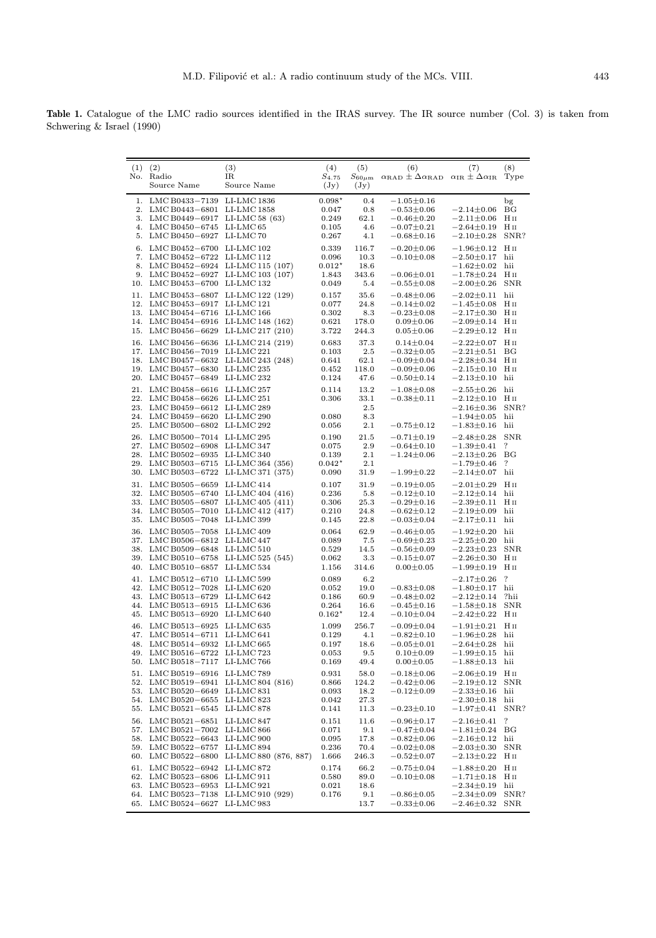Table 1. Catalogue of the LMC radio sources identified in the IRAS survey. The IR source number (Col. 3) is taken from Schwering & Israel (1990)

| (1)<br>No.                      | (2)<br>Radio<br>Source Name                                                                                       | (3)<br>IR<br>Source Name                                                       | (4)<br>$S_{4.75}$<br>$(\mathrm{Jy})$                | (5)<br>$S_{60\mu{\rm m}}$<br>(Jy)     | (6)<br>$\alpha_{\rm RAD} \pm \Delta \alpha_{\rm RAD}$                                            | (7)<br>$\alpha_{\rm IR} \pm \Delta \alpha_{\rm IR}$                                                  | (8)<br>Type                                          |
|---------------------------------|-------------------------------------------------------------------------------------------------------------------|--------------------------------------------------------------------------------|-----------------------------------------------------|---------------------------------------|--------------------------------------------------------------------------------------------------|------------------------------------------------------------------------------------------------------|------------------------------------------------------|
| 1.<br>2.<br>4.                  | LMC B0433-7139<br>LMC B0443-6801<br>3. LMC B0449-6917<br>LMC B0450-6745<br>5. LMC B0450-6927 LI-LMC 70            | LI-LMC 1836<br>LI-LMC 1858<br>LI-LMC 58 $(63)$<br>LI-LMC <sub>65</sub>         | $0.098*$<br>0.047<br>0.249<br>0.105<br>0.267        | 0.4<br>0.8<br>62.1<br>4.6<br>4.1      | $-1.05 \pm 0.16$<br>$-0.53 \pm 0.06$<br>$-0.46 \pm 0.20$<br>$-0.07 \pm 0.21$<br>$-0.68 \pm 0.16$ | $^{-2.14\pm0.06}$<br>$-2.11 \pm 0.06$<br>$-2.64 \pm 0.19$<br>$^{-2.10\pm0.28}$                       | $\mathbf{b}$<br>BG<br>Hп<br>Нп<br>SNR?               |
| 6.<br>7.<br>8.<br>9.<br>10.     | LMC B0452-6700 LI-LMC 102<br>LMC B0452-6722<br>LMC B0452-6924<br>LMC B0452-6927<br>LMC B0453-6700                 | LI-LMC 112<br>LI-LMC 115 (107)<br>LI-LMC 103 (107)<br>LI-LMC 132               | 0.339<br>0.096<br>$0.012^{\star}$<br>1.843<br>0.049 | 116.7<br>10.3<br>18.6<br>343.6<br>5.4 | $-0.20 \pm 0.06$<br>$-0.10 \pm 0.08$<br>$-0.06 \pm 0.01$<br>$-0.55 \pm 0.08$                     | $-1.96 \pm 0.12$<br>$-2.50 \pm 0.17$<br>$-1.62 \pm 0.02$<br>$-1.78{\pm}0.24$<br>$-2.00 \pm 0.26$     | Hп<br>hii<br>hii<br>Hп<br><b>SNR</b>                 |
| 11.<br>12.<br>13.               | LMC B0453-6807<br>LMC B0453-6917<br>LMC B0454-6716<br>14. LMC B0454-6916 LI-LMC 148 (162)<br>15. LMC B0456-6629   | LI-LMC 122 (129)<br>LLMC121<br>LLMC166<br>LI-LMC 217 (210)                     | 0.157<br>0.077<br>0.302<br>0.621<br>3.722           | 35.6<br>24.8<br>8.3<br>178.0<br>244.3 | $-0.48 \pm 0.06$<br>$-0.14 \pm 0.02$<br>$-0.23 \pm 0.08$<br>$0.09 \pm 0.06$<br>$0.05 \pm 0.06$   | $-2.02 \pm 0.11$<br>$-1.45 \pm 0.08$<br>$-2.17 \pm 0.30$<br>$-2.09 \pm 0.14$<br>$-2.29 \pm 0.12$     | hii<br>$H_{II}$<br>Hп<br>Hп<br>H <sub>II</sub>       |
| 16.<br>17.<br>20.               | LMC B0456-6636<br>LMC B0456-7019<br>18. LMC B0457-6632<br>19. LMCB0457-6830 LI-LMC235<br>LMC B0457-6849           | LI-LMC 214 (219)<br>$LI-LMC 221$<br>LI-LMC 243 (248)<br>LI-LMC 232             | 0.683<br>0.103<br>0.641<br>0.452<br>0.124           | 37.3<br>2.5<br>62.1<br>118.0<br>47.6  | $0.14 \pm 0.04$<br>$-0.32 \pm 0.05$<br>$-0.09 \pm 0.04$<br>$-0.09 \pm 0.06$<br>$-0.50 \pm 0.14$  | $-2.22 \pm 0.07$<br>$-2.21 \pm 0.51$<br>$-2.28 \pm 0.34$<br>$-2.15 \pm 0.10$<br>$-2.13 \pm 0.10$     | H <sub>II</sub><br>ΒG<br>$H_{II}$<br>$H_{II}$<br>hii |
| 21.<br>22.<br>23.<br>24.<br>25. | LMC B0458-6616<br>LMC B0458-6626<br>LMC B0459-6612<br>LMC B0459-6620<br>LMC B0500-6802                            | $LI-LMC 257$<br>LLMC 251<br>LI-LMC 289<br>$LI-LMC 290$<br>LI-LMC 292           | 0.114<br>0.306<br>0.080<br>0.056                    | 13.2<br>33.1<br>2.5<br>8.3<br>2.1     | $-1.08 \pm 0.08$<br>$-0.38 \pm 0.11$<br>$-0.75 \pm 0.12$                                         | $-2.55 \pm 0.26$<br>$-2.12 \pm 0.10$<br>$-2.16 \pm 0.36$<br>$-1.94 \pm 0.05$<br>$-1.83 \pm 0.16$     | hii<br>$H_{II}$<br>SNR?<br>hii<br>hii                |
| 27.<br>28.<br>29.<br>30.        | 26. LMC B0500-7014 LI-LMC 295<br>LMC B0502-6908<br>LMC B0502-6935<br>LMCB0503-6715<br>LMC B0503-6722              | $LI-LMC$ 347<br>$LI-LMC340$<br>LI-LMC 364 (356)<br>LI-LMC 371 (375)            | 0.190<br>0.075<br>0.139<br>$0.042*$<br>0.090        | 21.5<br>2.9<br>2.1<br>2.1<br>31.9     | $-0.71 \pm 0.19$<br>$-0.64 \pm 0.10$<br>$-1.24 \pm 0.06$<br>$-1.99 \pm 0.22$                     | $-2.48 \pm 0.28$<br>$^{-1.39 \pm 0.41}$<br>$-2.13 \pm 0.26$<br>$^{-1.79\pm0.46}$<br>$-2.14 \pm 0.07$ | <b>SNR</b><br>?<br>BG<br>?<br>hii                    |
| 31.<br>33.<br>34.<br>35.        | LMC B0505-6659<br>32. LMC B0505-6740<br>LMC B0505-6807<br>LMC B0505-7010<br>LMC B0505-7048 LI-LMC 399             | LLMC414<br>LI-LMC 404 (416)<br>$LI-LMC 405 (411)$<br>LI-LMC 412 (417)          | 0.107<br>0.236<br>0.306<br>0.210<br>0.145           | 31.9<br>5.8<br>25.3<br>24.8<br>22.8   | $-0.19 \pm 0.05$<br>$-0.12 \pm 0.10$<br>$-0.29 \pm 0.16$<br>$-0.62 \pm 0.12$<br>$-0.03 \pm 0.04$ | $-2.01 \pm 0.29$<br>$-2.12 \pm 0.14$<br>$^{-2.39\pm0.11}$<br>$-2.19 \pm 0.09$<br>$-2.17 \pm 0.11$    | Hп<br>hii<br>Нп<br>hii<br>hii                        |
| 36.<br>38.<br>39.               | LMC B0505-7058<br>37. LMC B0506-6812<br>LMC B0509-6848<br>LMC B0510-6758<br>40. LMC B0510-6857                    | LI-LMC 409<br>LI-LMC 447<br>$LI-LMC510$<br>$LI-LMC 525 (545)$<br>LI-LMC 534    | 0.064<br>0.089<br>0.529<br>0.062<br>1.156           | 62.9<br>7.5<br>14.5<br>3.3<br>314.6   | $-0.46 \pm 0.05$<br>$-0.69 \pm 0.23$<br>$-0.56 \pm 0.09$<br>$-0.15 \pm 0.07$<br>$0.00 \pm 0.05$  | $-1.92 \pm 0.20$<br>$-2.25 \pm 0.20$<br>$-2.23 \pm 0.23$<br>$-2.26 \pm 0.30$<br>$^{-1.99 \pm 0.19}$  | hii<br>hii<br><b>SNR</b><br>Hп<br>H <sub>II</sub>    |
| 41.<br>44.<br>45.               | LMCB0512-6710 LI-LMC599<br>42. LMCB0512-7028<br>43. LMC B0513-6729<br>LMC B0513-6915 LI-LMC 636<br>LMC B0513-6920 | $LI-LMC 620$<br>$LI-LMC642$<br>LI-LMC 640                                      | 0.089<br>0.052<br>0.186<br>0.264<br>$0.162*$        | 6.2<br>19.0<br>60.9<br>16.6<br>12.4   | $-0.83 \pm 0.08$<br>$-0.48 \pm 0.02$<br>$-0.45 \pm 0.16$<br>$-0.10 \pm 0.04$                     | $-2.17 \pm 0.26$<br>$^{-1.80 \pm 0.17}$<br>$-2.12 \pm 0.14$<br>$-1.58 \pm 0.18$<br>$-2.42 \pm 0.22$  | ?<br>hii<br>?hii<br><b>SNR</b><br>Hп                 |
| 46.<br>48.<br>49.<br>50.        | LMC B0513-6925<br>47. LMC B0514-6711<br>LMC B0514-6932 LI-LMC 665<br>LMC B0516-6722<br>LMC B0518-7117             | $LI-LMC635$<br>LI-LMC 641<br>LI-LMC723<br>LI-LMC 766                           | 1.099<br>0.129<br>0.197<br>0.053<br>0.169           | 256.7<br>4.1<br>18.6<br>9.5<br>49.4   | $-0.09 \pm 0.04$<br>$-0.82 \pm 0.10$<br>$-0.05 \pm 0.01$<br>$0.10 + 0.09$<br>$0.00 \pm 0.05$     | $-1.91 \pm 0.21$<br>$^{-1.96 \pm 0.28}$<br>$-2.64 \pm 0.28$<br>$-1.99 \pm 0.15$<br>$-1.88 \pm 0.13$  | Hп<br>hii<br>hii<br>hii<br>hii                       |
| 51.<br>55.                      | LMC B0519-6916<br>52. LMC B0519-6941<br>53. LMC B0520-6649<br>54. LMC B0520-6655<br>LMC B0521-6545                | LI-LMC 789<br>LI-LMC 804 (816)<br>$LI-LMC831$<br>LI-LMC 823<br>LI-LMC 878      | 0.931<br>0.866<br>0.093<br>0.042<br>0.141           | 58.0<br>124.2<br>18.2<br>27.3<br>11.3 | $-0.18 + 0.06$<br>$-0.42 \pm 0.06$<br>$-0.12 \pm 0.09$<br>$-0.23 \pm 0.10$                       | $-2.06 \pm 0.19$<br>$-2.19 \pm 0.12$<br>$-2.33 \pm 0.16$<br>$-2.30 \pm 0.18$<br>$-1.97 \pm 0.41$     | Нп<br><b>SNR</b><br>hii<br>hii<br>SNR?               |
| 57.                             | 56. LMC B0521-6851<br>LMC B0521-7002<br>58. LMC B0522-6643<br>59. LMC B0522-6757<br>60. LMC B0522-6800            | LI-LMC 847<br>$LI-LMC866$<br>LI-LMC 900<br>LI-LMC 894<br>LI-LMC 880 (876, 887) | 0.151<br>0.071<br>0.095<br>0.236<br>1.666           | 11.6<br>9.1<br>17.8<br>70.4<br>246.3  | $-0.96 \pm 0.17$<br>$-0.47 \pm 0.04$<br>$-0.82 \pm 0.06$<br>$-0.02 \pm 0.08$<br>$-0.52 \pm 0.07$ | $-2.16 \pm 0.41$<br>$-1.81 \pm 0.24$<br>$-2.16 \pm 0.12$<br>$-2.03 \pm 0.30$<br>$-2.13 \pm 0.22$     | ?<br>BG<br>hii<br><b>SNR</b><br>H <sub>II</sub>      |
| 62.<br>64.<br>65.               | 61. LMC B0522-6942<br>LMC B0523-6806<br>63. LMC B0523-6953<br>LMC B0523-7138<br>LMC B0524-6627                    | LI-LMC 872<br>$LI-LMC911$<br>LI-LMC 921<br>LI-LMC 910 (929)<br>LI-LMC 983      | 0.174<br>0.580<br>0.021<br>0.176                    | 66.2<br>89.0<br>18.6<br>9.1<br>13.7   | $-0.75 \pm 0.04$<br>$-0.10 + 0.08$<br>$-0.86 \pm 0.05$<br>$-0.33 \pm 0.06$                       | $-1.88 \pm 0.20$<br>$-1.71 \pm 0.18$<br>$-2.34 \pm 0.19$<br>$-2.34 \pm 0.09$<br>$-2.46 \pm 0.32$     | $H_{II}$<br>Hн<br>hii<br>SNR?<br><b>SNR</b>          |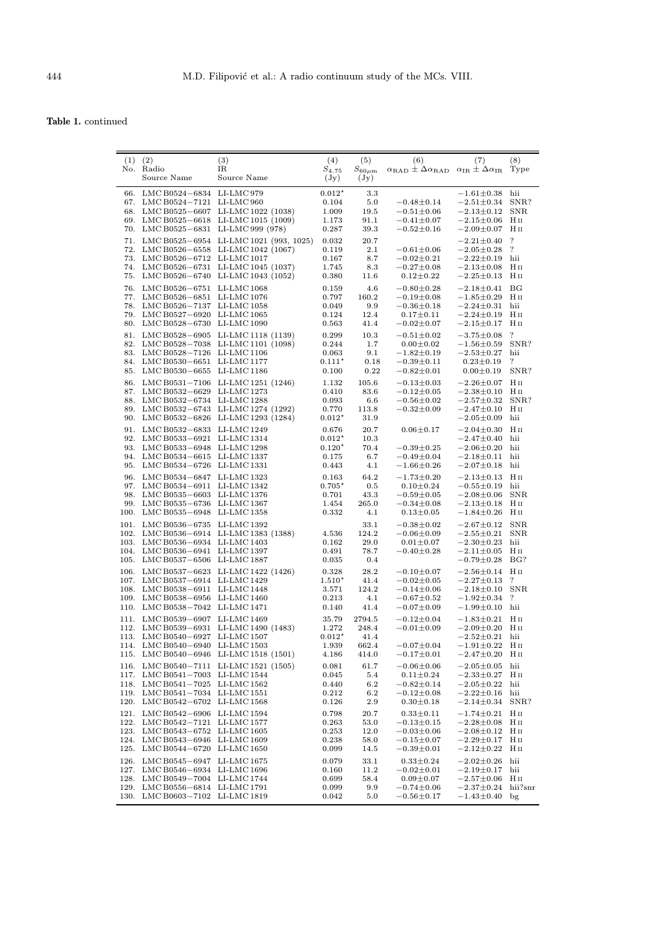Table 1. continued

| (1)        | (2)<br>No. Radio<br>Source Name                                                                                                                                       | (3)<br>IR<br>Source Name                                                                                                                         | (4)<br>$S_{4.75}$<br>$(\mathrm{Jy})$            | (5)<br>$S_{60\mu{\rm m}}$<br>$(\mathrm{Jy})$ | (6)<br>$\alpha_{\rm RAD} \pm \Delta \alpha_{\rm RAD}$ $\alpha_{\rm IR} \pm \Delta \alpha_{\rm IR}$   | (7)                                                                                                        | (8)<br>Type                                                |
|------------|-----------------------------------------------------------------------------------------------------------------------------------------------------------------------|--------------------------------------------------------------------------------------------------------------------------------------------------|-------------------------------------------------|----------------------------------------------|------------------------------------------------------------------------------------------------------|------------------------------------------------------------------------------------------------------------|------------------------------------------------------------|
| 67.<br>70. | 66. LMCB0524-6834 LI-LMC979<br>LMC B0524-7121<br>LMC B0525-6831                                                                                                       | LI-LMC 960<br>68. LMC B0525-6607 LI-LMC 1022 (1038)<br>69. LMC B0525-6618 LI-LMC 1015 (1009)<br>LI-LMC 999 (978)                                 | $0.012*$<br>0.104<br>1.009<br>1.173<br>0.287    | 3.3<br>5.0<br>19.5<br>91.1<br>39.3           | $-0.48 \pm 0.14$<br>$-0.51 \pm 0.06$<br>$-0.41 \pm 0.07$<br>$-0.52 \pm 0.16$                         | $-1.61 \pm 0.38$<br>$-2.51 \pm 0.34$<br>$-2.13 \pm 0.12$<br>$-2.15 \pm 0.06$<br>$-2.09 \pm 0.07$           | hii<br>SNR?<br><b>SNR</b><br>Hп<br>Hп                      |
|            | 73. LMCB0526-6712 LI-LMC1017<br>74. LMC B0526-6731                                                                                                                    | 71. LMC B0525-6954 LI-LMC 1021 (993, 1025)<br>72. LMCB0526-6558 LI-LMC1042 (1067)<br>LI-LMC 1045 (1037)<br>75. LMC B0526-6740 LI-LMC 1043 (1052) | 0.032<br>0.119<br>0.167<br>1.745<br>0.380       | 20.7<br>$2.1\,$<br>8.7<br>8.3<br>11.6        | $-0.61 \pm 0.06$<br>$-0.02 \pm 0.21$<br>$-0.27 \pm 0.08$<br>$0.12 \pm 0.22$                          | $-2.21 \pm 0.40$<br>$-2.05 \pm 0.28$<br>$-2.22 \pm 0.19$<br>$-2.13 \pm 0.08$<br>$-2.25 \pm 0.13$           | $\overline{\cdot}$<br>?<br>hii<br>H <sub>II</sub><br>Hп    |
|            | 76. LMCB0526-6751 LI-LMC1068<br>77. LMCB0526-6851 LI-LMC1076<br>78. LMCB0526-7137 LI-LMC1058<br>79. LMC B0527-6920<br>80. LMCB0528-6730 LI-LMC1090                    | $LI-LMC$ 1065                                                                                                                                    | 0.159<br>0.797<br>0.049<br>0.124<br>0.563       | 4.6<br>160.2<br>9.9<br>12.4<br>41.4          | $-0.80 \pm 0.28$<br>$-0.19 \pm 0.08$<br>$-0.36 \pm 0.18$<br>$0.17 \pm 0.11$<br>$-0.02 \pm 0.07$      | $-2.18 \pm 0.41$<br>$-1.85 \pm 0.29$<br>$-2.24 \pm 0.31$<br>$-2.24 \pm 0.19$<br>$-2.15 \pm 0.17$           | BG<br>Hп<br>hii<br>Hп<br>H <sub>II</sub>                   |
| 81.        | 83. LMCB0528-7126<br>84. LMC B0530-6651<br>85. LMCB0530-6655                                                                                                          | LMCB0528-6905 LI-LMC1118 (1139)<br>82. LMCB0528-7038 LI-LMC1101 (1098)<br>$LI-LMC1106$<br>$LI-LMC 1177$<br>LI-LMC 1186                           | 0.299<br>0.244<br>0.063<br>$0.111*$<br>0.100    | 10.3<br>1.7<br>9.1<br>0.18<br>0.22           | $-0.51 \pm 0.02$<br>$0.00 \pm 0.02$<br>$-1.82 \pm 0.19$<br>$-0.39 \pm 0.11$<br>$-0.82 \pm 0.01$      | $-3.75 \pm 0.08$<br>$-1.56 \pm 0.59$<br>$-2.53 \pm 0.27$<br>$0.23 \pm 0.19$<br>$0.00 \pm 0.19$             | $\overline{\phantom{a}}$<br>SNR?<br>hii<br>?<br>SNR?       |
|            | 86. LMC B0531-7106<br>87. LMC B0532-6629<br>88. LMCB0532-6734 LI-LMC1288                                                                                              | LI-LMC 1251 (1246)<br>LI-LMC 1273<br>89. LMC B0532-6743 LI-LMC 1274 (1292)<br>90. LMC B0532-6826 LI-LMC 1293 (1284)                              | 1.132<br>0.410<br>0.093<br>0.770<br>$0.012*$    | 105.6<br>83.6<br>6.6<br>113.8<br>31.9        | $-0.13 \pm 0.03$<br>$-0.12 \pm 0.05$<br>$-0.56 \pm 0.02$<br>$-0.32 \pm 0.09$                         | $-2.26 \pm 0.07$<br>$-2.38 \pm 0.10$<br>$-2.57 \pm 0.32$<br>$-2.47 \pm 0.10$<br>$-2.05 \pm 0.09$           | Hп<br>Нп<br>SNR?<br>Hп<br>hii                              |
|            | 91. LMC B0532-6833<br>92. LMC B0533-6921<br>93. LMCB0533-6948 LI-LMC1298<br>94. LMCB0534-6615 LI-LMC1337<br>95. LMC B0534-6726                                        | LI-LMC 1249<br>LI-LMC 1314<br>LI-LMC 1331                                                                                                        | 0.676<br>$0.012*$<br>$0.120*$<br>0.175<br>0.443 | 20.7<br>10.3<br>70.4<br>6.7<br>4.1           | $0.06 \pm 0.17$<br>$-0.39 \pm 0.25$<br>$-0.49 \pm 0.04$<br>$-1.66 \pm 0.26$                          | $-2.04 \pm 0.30$<br>$-2.47 \pm 0.40$<br>$-2.06 \pm 0.20$<br>$-2.18 \pm 0.11$<br>$-2.07 \pm 0.18$           | Hп<br>hii<br>hii<br>hii<br>hii                             |
| 96.<br>99. | LMC B0534-6847<br>97. LMC B0534-6911<br>98. LMCB0535-6603 LI-LMC1376<br>LMC B0535-6736<br>100. LMC B0535-6948                                                         | LI-LMC 1323<br>LI-LMC 1342<br>LI-LMC 1367<br>LI-LMC 1358                                                                                         | 0.163<br>$0.705*$<br>0.701<br>1.454<br>0.332    | 64.2<br>0.5<br>43.3<br>265.0<br>4.1          | $-1.73 \pm 0.20$<br>$0.10 \pm 0.24$<br>$^{-0.59 \pm 0.05}$<br>$^{-0.34 \pm 0.08}$<br>$0.13 \pm 0.05$ | $-2.13 \pm 0.13$<br>$-0.55 \pm 0.19$<br>$-2.08 \pm 0.06$<br>$-2.13 \pm 0.18$<br>$-1.84 \pm 0.26$           | Hп<br>hii<br><b>SNR</b><br>Hп<br>H II                      |
| 105.       | 101. LMCB0536-6735 LI-LMC1392<br>102. LMC B0536-6914<br>103. LMC B0536-6934 LI-LMC 1403<br>104. LMC B0536-6941 LI-LMC 1397<br>LMC B0537-6506                          | LI-LMC 1383 (1388)<br>LI-LMC 1887                                                                                                                | 4.536<br>0.162<br>0.491<br>0.035                | 33.1<br>124.2<br>29.0<br>78.7<br>0.4         | $-0.38 \pm 0.02$<br>$-0.06 \pm 0.09$<br>$0.01 \pm 0.07$<br>$-0.40 \pm 0.28$                          | $-2.67 \pm 0.12$<br>$-2.55 \pm 0.21$<br>$-2.30 \pm 0.23$<br>$-2.11 \pm 0.05$<br>$-0.79 \pm 0.28$           | <b>SNR</b><br><b>SNR</b><br>hii<br>H <sub>II</sub><br>BG?  |
| 108.       | 107. LMCB0537-6914 LI-LMC1429<br>LMC B0538-6911<br>109. LMCB0538-6956 LI-LMC1460<br>110. LMC B0538-7042 LI-LMC 1471                                                   | 106. LMCB0537-6623 LI-LMC1422 (1426)<br>LI-LMC 1448                                                                                              | 0.328<br>$1.510*$<br>3.571<br>0.213<br>0.140    | 28.2<br>41.4<br>124.2<br>4.1<br>41.4         | $-0.10 \pm 0.07$<br>$-0.02 \pm 0.05$<br>$-0.14 \pm 0.06$<br>$-0.67 \pm 0.52$<br>$-0.07 \pm 0.09$     | $-2.56 \pm 0.14$<br>$-2.27 \pm 0.13$<br>$-2.18 \pm 0.10$<br>$-1.92 \pm 0.34$<br>$-1.99 \pm 0.10$           | Нп<br>$\cdot$<br><b>SNR</b><br>?<br>hii                    |
|            | 111. LMCB0539-6907 LI-LMC1469<br>113. LMC B0540-6927 LI-LMC 1507<br>114. LMCB0540-6940 LI-LMC1503                                                                     | 112. LMCB0539-6931 LI-LMC1490 (1483)<br>115. LMCB0540-6946 LI-LMC1518 (1501)                                                                     | 35.79<br>1.272<br>$0.012*$<br>1.939<br>4.186    | 2794.5<br>248.4<br>41.4<br>662.4<br>414.0    | $-0.12 \pm 0.04$<br>$-0.01 \pm 0.09$<br>$-0.07 \pm 0.04$<br>$-0.17 \pm 0.01$                         | $-1.83 \pm 0.21$<br>$-2.09 \pm 0.20$<br>$-2.52 \pm 0.21$<br>$-1.91 \pm 0.22$ H II<br>$-2.47 \pm 0.20$ H II | Hп<br>H 11<br>hii                                          |
| 116.       | 117. LMCB0541-7003 LI-LMC1544<br>118. LMC B0541-7025<br>119. LMC B0541-7034 LI-LMC 1551<br>120. LMC B0542-6702 LI-LMC 1568                                            | LMCB0540-7111 LI-LMC1521 (1505)<br>LI-LMC 1562                                                                                                   | 0.081<br>0.045<br>0.440<br>0.212<br>0.126       | 61.7<br>5.4<br>6.2<br>6.2<br>2.9             | $-0.06 \pm 0.06$<br>$0.11 \pm 0.24$<br>$-0.82 \pm 0.14$<br>$-0.12 \pm 0.08$<br>$0.30 \pm 0.18$       | $-2.05 \pm 0.05$<br>$-2.33 \pm 0.27$<br>$-2.05 \pm 0.22$<br>$-2.22 \pm 0.16$<br>$-2.14 \pm 0.34$           | hii<br>Hп<br>hii<br>hii<br>SNR?                            |
|            | 121. LMCB0542-6906 LI-LMC1594<br>122. LMC B0542-7121 LI-LMC 1577<br>123. LMCB0543-6752 LI-LMC1605<br>124. LMCB0543-6946 LI-LMC1609<br>125. LMCB0544-6720 LI-LMC1650   |                                                                                                                                                  | 0.798<br>0.263<br>0.253<br>0.238<br>0.099       | 20.7<br>53.0<br>12.0<br>58.0<br>14.5         | $0.33 \pm 0.11$<br>$-0.13 \pm 0.15$<br>$-0.03 \pm 0.06$<br>$-0.15 \pm 0.07$<br>$-0.39 \pm 0.01$      | $-1.74 \pm 0.21$<br>$-2.28 \pm 0.08$<br>$-2.08 \pm 0.12$<br>$-2.29 \pm 0.17$<br>$-2.12 \pm 0.22$           | H <sub>II</sub><br>Нп<br>H <sub>II</sub><br>$H_{II}$<br>Нп |
|            | 126. LMCB0545-6947 LI-LMC1675<br>127. LMCB0546-6934 LI-LMC1696<br>128. LMC B0549-7004 LI-LMC 1744<br>129. LMC B0556-6814 LI-LMC 1791<br>130. LMCB0603-7102 LI-LMC1819 |                                                                                                                                                  | 0.079<br>0.160<br>0.699<br>0.099<br>0.042       | 33.1<br>11.2<br>58.4<br>9.9<br>5.0           | $0.33 \pm 0.24$<br>$-0.02 \pm 0.01$<br>$0.09 \pm 0.07$<br>$-0.74 \pm 0.06$<br>$^{-0.56 \pm 0.17}$    | $-2.02 \pm 0.26$<br>$-2.19 \pm 0.17$<br>$-2.57 \pm 0.06$<br>$-2.37 \pm 0.24$<br>$-1.43 \pm 0.40$           | hii<br>hii<br>H <sub>II</sub><br>hii?snr<br>bg             |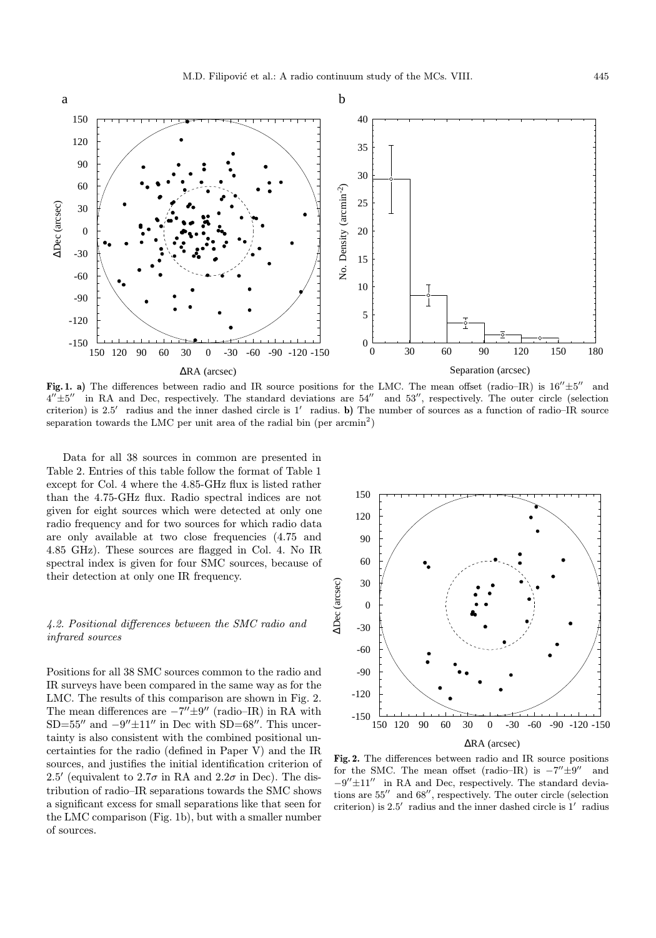

Fig. 1. a) The differences between radio and IR source positions for the LMC. The mean offset (radio–IR) is  $16''\pm5''$  and  $4''\pm5''$  in RA and Dec, respectively. The standard deviations are  $54''$  and  $53''$ , respectively. The outer circle (selection criterion) is 2.5<sup>'</sup> radius and the inner dashed circle is  $1'$  radius. b) The number of sources as a function of radio–IR source separation towards the LMC per unit area of the radial bin (per  $\arcsin^{2}$ )

Data for all 38 sources in common are presented in Table 2. Entries of this table follow the format of Table 1 except for Col. 4 where the 4.85-GHz flux is listed rather than the 4.75-GHz flux. Radio spectral indices are not given for eight sources which were detected at only one radio frequency and for two sources for which radio data are only available at two close frequencies (4.75 and 4.85 GHz). These sources are flagged in Col. 4. No IR spectral index is given for four SMC sources, because of their detection at only one IR frequency.

# 4.2. Positional differences between the SMC radio and infrared sources

Positions for all 38 SMC sources common to the radio and IR surveys have been compared in the same way as for the LMC. The results of this comparison are shown in Fig. 2. The mean differences are  $-7'' \pm 9''$  (radio–IR) in RA with SD=55<sup> $\prime\prime$ </sup> and  $-9^{\prime\prime} \pm 11^{\prime\prime}$  in Dec with SD=68 $\prime\prime$ . This uncertainty is also consistent with the combined positional uncertainties for the radio (defined in Paper V) and the IR sources, and justifies the initial identification criterion of 2.5' (equivalent to 2.7 $\sigma$  in RA and 2.2 $\sigma$  in Dec). The distribution of radio–IR separations towards the SMC shows a significant excess for small separations like that seen for the LMC comparison (Fig. 1b), but with a smaller number of sources.



Fig. 2. The differences between radio and IR source positions for the SMC. The mean offset (radio–IR) is  $-7'' \pm 9''$  and  $-9'' \pm 11''$  in RA and Dec, respectively. The standard deviations are  $55^{\prime\prime}~$  and  $68^{\prime\prime}$ , respectively. The outer circle (selection criterion) is  $2.5'$  radius and the inner dashed circle is  $1'$  radius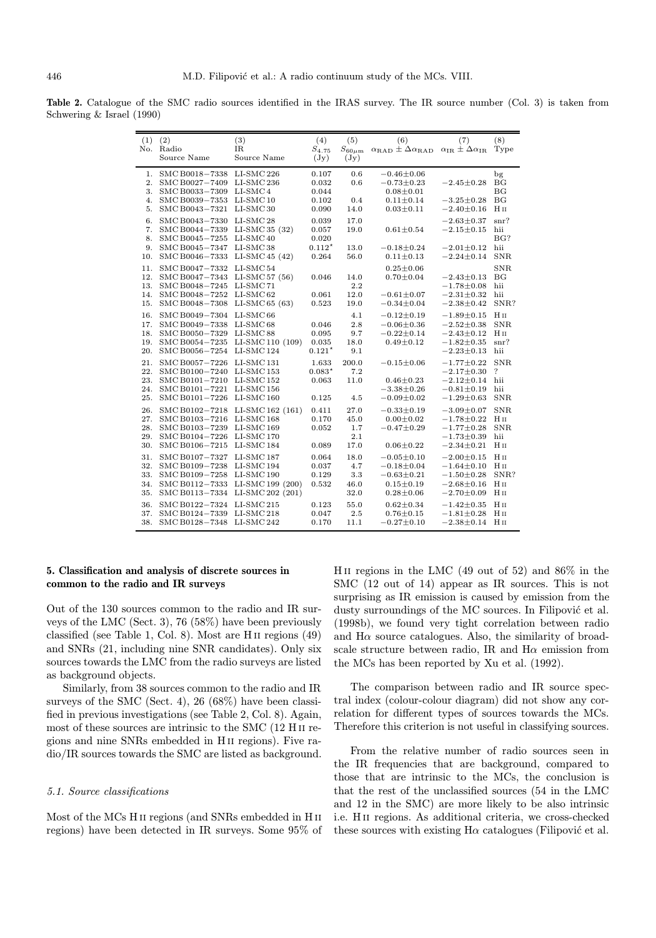Table 2. Catalogue of the SMC radio sources identified in the IRAS survey. The IR source number (Col. 3) is taken from Schwering & Israel (1990)

| (1) | (2)                       | (3)                   | (4)             | (5)                | (6)                                            | (7)                                          | (8)                |
|-----|---------------------------|-----------------------|-----------------|--------------------|------------------------------------------------|----------------------------------------------|--------------------|
| No. | Radio                     | IR                    | $S_{4.75}$      | $S_{60\mu{\rm m}}$ | $\alpha_{\rm RAD} \pm \Delta \alpha_{\rm RAD}$ | $\alpha_{\rm IR} \pm \Delta \alpha_{\rm IR}$ | Type               |
|     | Source Name               | Source Name           | $(\mathrm{Jy})$ | $(\mathrm{Jy})$    |                                                |                                              |                    |
|     |                           |                       |                 |                    |                                                |                                              |                    |
| 1.  | SMC B0018-7338 LI-SMC 226 |                       | 0.107           | 0.6                | $-0.46 + 0.06$                                 |                                              | bg                 |
| 2.  | SMC B0027-7409 LI-SMC 236 |                       | 0.032           | 0.6                | $-0.73 \pm 0.23$                               | $-2.45 \pm 0.28$                             | BG                 |
| 3.  | SMC B0033-7309 LI-SMC 4   |                       | 0.044           |                    | $0.08 \pm 0.01$                                |                                              | BG                 |
| 4.  | SMC B0039-7353            | LI-SMC <sub>10</sub>  | 0.102           | 0.4                | $0.11 \pm 0.14$                                | $-3.25 \pm 0.28$                             | BG                 |
| 5.  | SMC B0043-7321            | LI-SMC <sub>30</sub>  | 0.090           | 14.0               | $0.03 \pm 0.11$                                | $-2.40 \pm 0.16$                             | H <sub>II</sub>    |
| 6.  | SMC B0043-7330            | $LI$ -SMC 28          | 0.039           | 17.0               |                                                | $-2.63 \pm 0.37$                             | $snr$ ?            |
| 7.  | SMC B0044-7339            | $LI-SMC35(32)$        | 0.057           | 19.0               | $0.61 \pm 0.54$                                | $-2.15 \pm 0.15$                             | hii                |
| 8.  | SMC B0045-7255            | $LI-SMC40$            | 0.020           |                    |                                                |                                              | BG?                |
| 9.  | SMC B0045-7347 LI-SMC 38  |                       | $0.112*$        | 13.0               | $-0.18 \pm 0.24$                               | $-2.01 \pm 0.12$                             | hii                |
| 10. | SMC B0046-7333            | LI-SMC 45 $(42)$      | 0.264           | 56.0               | $0.11 \pm 0.13$                                | $-2.24 \pm 0.14$                             | <b>SNR</b>         |
| 11. | SMC B0047-7332            | LI-SMC 54             |                 |                    | $0.25 \pm 0.06$                                |                                              | <b>SNR</b>         |
| 12. | SMC B0047-7343            | LI-SMC 57 $(56)$      | 0.046           | 14.0               | $0.70 \pm 0.04$                                | $-2.43 \pm 0.13$                             | BG                 |
| 13. | SMC B0048-7245 LI-SMC 71  |                       |                 | 2.2                |                                                | $-1.78 \pm 0.08$                             | hii                |
| 14. | SMC B0048-7252            | $LI$ -SMC 62          | 0.061           | 12.0               | $-0.61 \pm 0.07$                               | $-2.31 \pm 0.32$                             | hii                |
| 15. | SMC B0048-7308            | LI-SMC 65 $(63)$      | 0.523           | 19.0               | $-0.34 \pm 0.04$                               | $-2.38 \pm 0.42$                             | SNR?               |
|     |                           |                       |                 |                    |                                                |                                              |                    |
| 16. | SMC B0049-7304 LI-SMC 66  |                       |                 | 4.1                | $-0.12 \pm 0.19$                               | $-1.89 \pm 0.15$                             | $H$ II             |
| 17. | SMC B0049-7338            | $LI-SMC68$            | 0.046           | 2.8                | $-0.06 \pm 0.36$                               | $-2.52 \pm 0.38$                             | <b>SNR</b>         |
| 18. | SMC B0050-7329 LI-SMC 88  |                       | 0.095           | 9.7                | $-0.22 \pm 0.14$                               | $-2.43 \pm 0.12$                             | H <sub>II</sub>    |
| 19. | SMC B0054-7235            | LI-SMC 110 (109)      | 0.035           | 18.0               | $0.49 \pm 0.12$                                | $-1.82 \pm 0.35$                             | snr?               |
| 20. | SMC B0056-7254 LI-SMC 124 |                       | $0.121*$        | 9.1                |                                                | $-2.23 \pm 0.13$                             | hii                |
| 21. | SMC B0057-7226 LI-SMC 131 |                       | 1.633           | 200.0              | $-0.15 \pm 0.06$                               | $-1.77 \pm 0.22$                             | <b>SNR</b>         |
| 22. | SMC B0100-7240 LI-SMC 153 |                       | $0.083*$        | 7.2                |                                                | $-2.17 \pm 0.30$                             | $\overline{\cdot}$ |
| 23. | SMC B0101-7210            | LI-SMC <sub>152</sub> | 0.063           | 11.0               | $0.46 \pm 0.23$                                | $-2.12 \pm 0.14$                             | hii                |
| 24. | SMC B0101-7221            | $LI$ -SMC 156         |                 |                    | $-3.38 \pm 0.26$                               | $-0.81 \pm 0.19$                             | hii                |
| 25. | SMC B0101-7226            | $LI-SMC160$           | 0.125           | 4.5                | $-0.09 \pm 0.02$                               | $-1.29 \pm 0.63$                             | <b>SNR</b>         |
| 26. | SMC B0102-7218            | LI-SMC 162 (161)      | 0.411           | 27.0               | $-0.33 \pm 0.19$                               | $-3.09 \pm 0.07$                             | <b>SNR</b>         |
| 27. | SMC B0103-7216 LI-SMC 168 |                       | 0.170           | 45.0               | $0.00 \pm 0.02$                                | $-1.78 \pm 0.22$                             | H <sub>II</sub>    |
| 28. | SMC B0103-7239 LI-SMC 169 |                       | 0.052           | 1.7                | $-0.47 \pm 0.29$                               | $-1.77 \pm 0.28$                             | <b>SNR</b>         |
| 29. | SMC B0104-7226            | LI-SMC <sub>170</sub> |                 | 2.1                |                                                | $-1.73 \pm 0.39$                             | hii                |
| 30. | SMC B0106-7215            | LI-SMC 184            | 0.089           | 17.0               | $0.06 \pm 0.22$                                | $-2.34 \pm 0.21$                             | Hп                 |
| 31. | SMC B0107-7327            | $LI-SMC$ 187          | 0.064           | 18.0               | $-0.05 \pm 0.10$                               | $-2.00 \pm 0.15$                             | $H$ II             |
| 32. | SMC B0109-7238            | LI-SMC 194            | 0.037           | 4.7                | $-0.18 \pm 0.04$                               | $-1.64 \pm 0.10$                             | $H$ II             |
| 33. | SMC B0109-7258            | $LI-SMC190$           | 0.129           | 3.3                | $-0.63 \pm 0.21$                               | $-1.50 \pm 0.28$                             | SNR?               |
| 34. | SMC B0112-7333            | LI-SMC 199 (200)      | 0.532           | 46.0               | $0.15 \pm 0.19$                                | $-2.68 \pm 0.16$                             | H <sub>II</sub>    |
| 35. | SMC B0113-7334            | LI-SMC 202 (201)      |                 | 32.0               | $0.28 + 0.06$                                  | $-2.70 \pm 0.09$                             | H <sub>II</sub>    |
| 36. | SMC B0122-7324 LI-SMC 215 |                       | 0.123           | 55.0               | $0.62 \pm 0.34$                                | $-1.42 \pm 0.35$                             | HII                |
| 37. | SMC B0124-7339            | $LI$ -SMC 218         | 0.047           | 2.5                | $0.76 \pm 0.15$                                | $-1.81 \pm 0.28$                             | H <sub>II</sub>    |
| 38. | SMC B0128-7348 LI-SMC 242 |                       | 0.170           | 11.1               | $-0.27 \pm 0.10$                               | $-2.38 \pm 0.14$                             | Нп                 |
|     |                           |                       |                 |                    |                                                |                                              |                    |

# 5. Classification and analysis of discrete sources in common to the radio and IR surveys

Out of the 130 sources common to the radio and IR surveys of the LMC (Sect. 3), 76 (58%) have been previously classified (see Table 1, Col. 8). Most are H ii regions (49) and SNRs (21, including nine SNR candidates). Only six sources towards the LMC from the radio surveys are listed as background objects.

Similarly, from 38 sources common to the radio and IR surveys of the SMC (Sect. 4), 26 (68%) have been classified in previous investigations (see Table 2, Col. 8). Again, most of these sources are intrinsic to the SMC (12 H ii regions and nine SNRs embedded in H ii regions). Five radio/IR sources towards the SMC are listed as background.

## 5.1. Source classifications

Most of the MCs H ii regions (and SNRs embedded in H ii regions) have been detected in IR surveys. Some 95% of H<sub>II</sub> regions in the LMC  $(49 \text{ out of } 52)$  and  $86\%$  in the SMC (12 out of 14) appear as IR sources. This is not surprising as IR emission is caused by emission from the dusty surroundings of the MC sources. In Filipović et al. (1998b), we found very tight correlation between radio and  $H\alpha$  source catalogues. Also, the similarity of broadscale structure between radio, IR and  $H\alpha$  emission from the MCs has been reported by Xu et al. (1992).

The comparison between radio and IR source spectral index (colour-colour diagram) did not show any correlation for different types of sources towards the MCs. Therefore this criterion is not useful in classifying sources.

From the relative number of radio sources seen in the IR frequencies that are background, compared to those that are intrinsic to the MCs, the conclusion is that the rest of the unclassified sources (54 in the LMC and 12 in the SMC) are more likely to be also intrinsic i.e. H ii regions. As additional criteria, we cross-checked these sources with existing  $H\alpha$  catalogues (Filipović et al.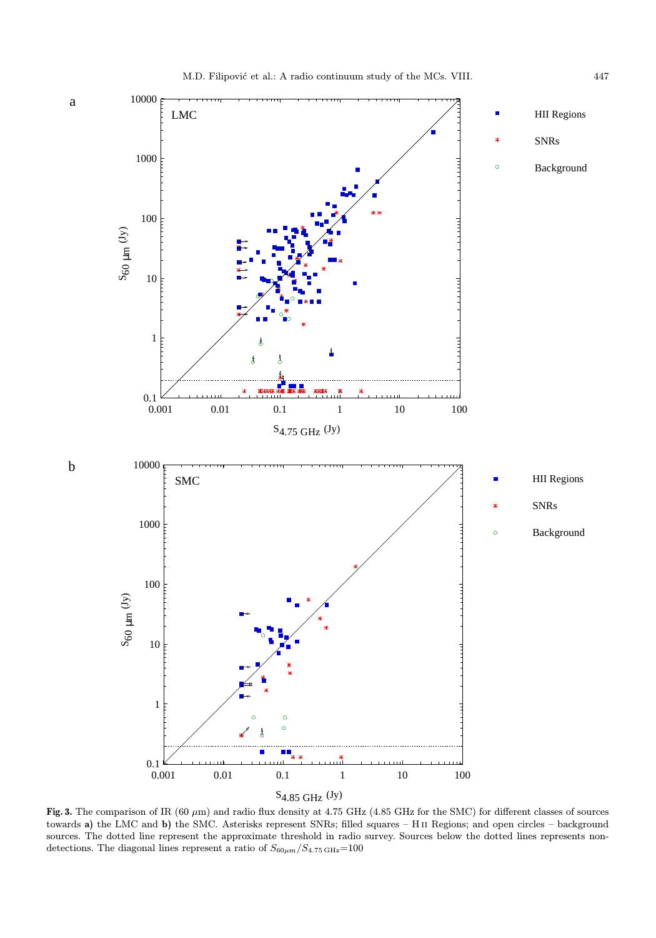a

b



Fig. 3. The comparison of IR (60  $\mu$ m) and radio flux density at 4.75 GHz (4.85 GHz for the SMC) for different classes of sources towards a) the LMC and b) the SMC. Asterisks represent SNRs; filled squares – H ii Regions; and open circles – background sources. The dotted line represent the approximate threshold in radio survey. Sources below the dotted lines represents nondetections. The diagonal lines represent a ratio of  $S_{60\mu\rm m}/S_{4.75\,\rm GHz}{=}100$